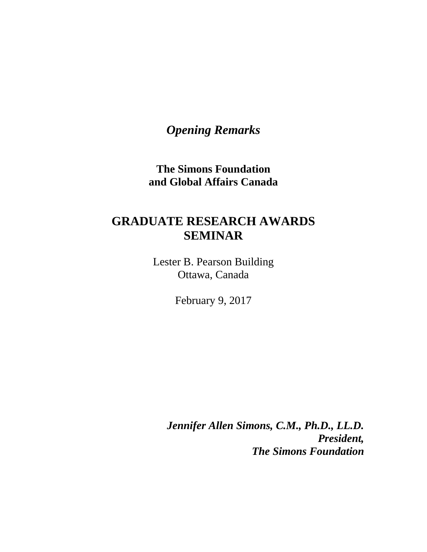*Opening Remarks*

**The Simons Foundation and Global Affairs Canada**

## **GRADUATE RESEARCH AWARDS SEMINAR**

Lester B. Pearson Building Ottawa, Canada

February 9, 2017

*Jennifer Allen Simons, C.M., Ph.D., LL.D. President, The Simons Foundation*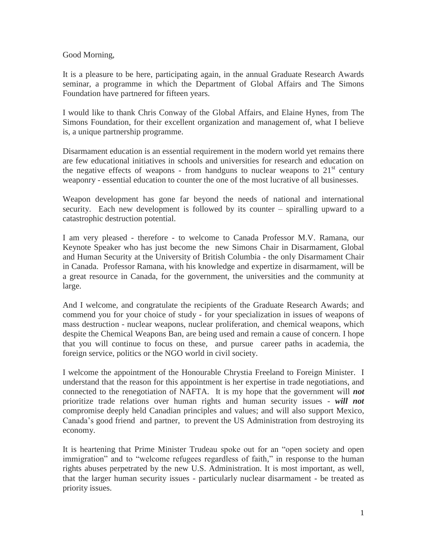Good Morning,

It is a pleasure to be here, participating again, in the annual Graduate Research Awards seminar, a programme in which the Department of Global Affairs and The Simons Foundation have partnered for fifteen years.

I would like to thank Chris Conway of the Global Affairs, and Elaine Hynes, from The Simons Foundation, for their excellent organization and management of, what I believe is, a unique partnership programme.

Disarmament education is an essential requirement in the modern world yet remains there are few educational initiatives in schools and universities for research and education on the negative effects of weapons - from handguns to nuclear weapons to  $21<sup>st</sup>$  century weaponry - essential education to counter the one of the most lucrative of all businesses.

Weapon development has gone far beyond the needs of national and international security. Each new development is followed by its counter – spiralling upward to a catastrophic destruction potential.

I am very pleased - therefore - to welcome to Canada Professor M.V. Ramana, our Keynote Speaker who has just become the new Simons Chair in Disarmament, Global and Human Security at the University of British Columbia - the only Disarmament Chair in Canada. Professor Ramana, with his knowledge and expertize in disarmament, will be a great resource in Canada, for the government, the universities and the community at large.

And I welcome, and congratulate the recipients of the Graduate Research Awards; and commend you for your choice of study - for your specialization in issues of weapons of mass destruction - nuclear weapons, nuclear proliferation, and chemical weapons, which despite the Chemical Weapons Ban, are being used and remain a cause of concern. I hope that you will continue to focus on these, and pursue career paths in academia, the foreign service, politics or the NGO world in civil society.

I welcome the appointment of the Honourable Chrystia Freeland to Foreign Minister. I understand that the reason for this appointment is her expertise in trade negotiations, and connected to the renegotiation of NAFTA. It is my hope that the government will *not* prioritize trade relations over human rights and human security issues - *will not* compromise deeply held Canadian principles and values; and will also support Mexico, Canada's good friend and partner, to prevent the US Administration from destroying its economy.

It is heartening that Prime Minister Trudeau spoke out for an "open society and open immigration" and to "welcome refugees regardless of faith," in response to the human rights abuses perpetrated by the new U.S. Administration. It is most important, as well, that the larger human security issues - particularly nuclear disarmament - be treated as priority issues.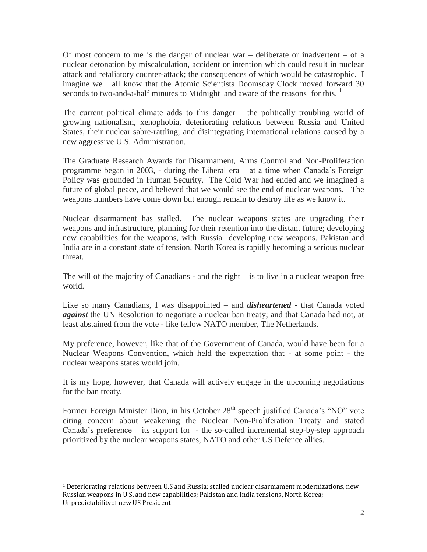Of most concern to me is the danger of nuclear war – deliberate or inadvertent – of a nuclear detonation by miscalculation, accident or intention which could result in nuclear attack and retaliatory counter-attack; the consequences of which would be catastrophic. I imagine we all know that the Atomic Scientists Doomsday Clock moved forward 30 seconds to two-and-a-half minutes to Midnight and aware of the reasons for this.  $\frac{1}{1}$ 

The current political climate adds to this danger – the politically troubling world of growing nationalism, xenophobia, deteriorating relations between Russia and United States, their nuclear sabre-rattling; and disintegrating international relations caused by a new aggressive U.S. Administration.

The Graduate Research Awards for Disarmament, Arms Control and Non-Proliferation programme began in 2003, - during the Liberal era – at a time when Canada's Foreign Policy was grounded in Human Security. The Cold War had ended and we imagined a future of global peace, and believed that we would see the end of nuclear weapons. The weapons numbers have come down but enough remain to destroy life as we know it.

Nuclear disarmament has stalled. The nuclear weapons states are upgrading their weapons and infrastructure, planning for their retention into the distant future; developing new capabilities for the weapons, with Russia developing new weapons. Pakistan and India are in a constant state of tension. North Korea is rapidly becoming a serious nuclear threat.

The will of the majority of Canadians - and the right  $-$  is to live in a nuclear weapon free world.

Like so many Canadians, I was disappointed – and *disheartened* - that Canada voted *against* the UN Resolution to negotiate a nuclear ban treaty; and that Canada had not, at least abstained from the vote - like fellow NATO member, The Netherlands.

My preference, however, like that of the Government of Canada, would have been for a Nuclear Weapons Convention, which held the expectation that - at some point - the nuclear weapons states would join.

It is my hope, however, that Canada will actively engage in the upcoming negotiations for the ban treaty.

Former Foreign Minister Dion, in his October 28<sup>th</sup> speech justified Canada's "NO" vote citing concern about weakening the Nuclear Non-Proliferation Treaty and stated Canada's preference – its support for - the so-called incremental step-by-step approach prioritized by the nuclear weapons states, NATO and other US Defence allies.

 $\overline{\phantom{a}}$ 

<sup>1</sup> Deteriorating relations between U.S and Russia; stalled nuclear disarmament modernizations, new Russian weapons in U.S. and new capabilities; Pakistan and India tensions, North Korea; Unpredictabilityof new US President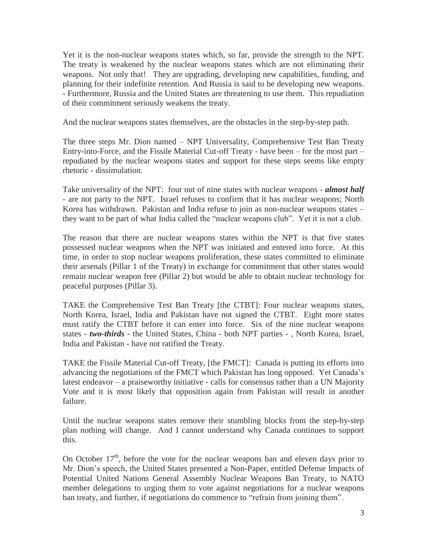Yet it is the non-nuclear weapons states which, so far, provide the strength to the NPT. The treaty is weakened by the nuclear weapons states which are not eliminating their weapons. Not only that! They are upgrading, developing new capabilities, funding, and planning for their indefinite retention. And Russia is said to be developing new weapons. - Furthermore, Russia and the United States are threatening to use them. This repudiation of their commitment seriously weakens the treaty.

And the nuclear weapons states themselves, are the obstacles in the step-by-step path.

The three steps Mr. Dion named – NPT Universality, Comprehensive Test Ban Treaty Entry-into-Force, and the Fissile Material Cut-off Treaty - have been – for the most part – repudiated by the nuclear weapons states and support for these steps seems like empty rhetoric - dissimulation.

Take universality of the NPT: four out of nine states with nuclear weapons - *almost half* - are not party to the NPT. Israel refuses to confirm that it has nuclear weapons; North Korea has withdrawn. Pakistan and India refuse to join as non-nuclear weapons states – they want to be part of what India called the "nuclear weapons club". Yet it is not a club.

The reason that there are nuclear weapons states within the NPT is that five states possessed nuclear weapons when the NPT was initiated and entered into force. At this time, in order to stop nuclear weapons proliferation, these states committed to eliminate their arsenals (Pillar 1 of the Treaty) in exchange for commitment that other states would remain nuclear weapon free (Pillar 2) but would be able to obtain nuclear technology for peaceful purposes (Pillar 3).

TAKE the Comprehensive Test Ban Treaty [the CTBT]: Four nuclear weapons states, North Korea, Israel, India and Pakistan have not signed the CTBT. Eight more states must ratify the CTBT before it can enter into force. Six of the nine nuclear weapons states - *two-thirds* - the United States, China - both NPT parties - , North Korea, Israel, India and Pakistan - have not ratified the Treaty.

TAKE the Fissile Material Cut-off Treaty, [the FMCT]: Canada is putting its efforts into advancing the negotiations of the FMCT which Pakistan has long opposed. Yet Canada's latest endeavor – a praiseworthy initiative - calls for consensus rather than a UN Majority Vote and it is most likely that opposition again from Pakistan will result in another failure.

Until the nuclear weapons states remove their stumbling blocks from the step-by-step plan nothing will change. And I cannot understand why Canada continues to support this.

On October  $17<sup>th</sup>$ , before the vote for the nuclear weapons ban and eleven days prior to Mr. Dion's speech, the United States presented a Non-Paper, entitled Defense Impacts of Potential United Nations General Assembly Nuclear Weapons Ban Treaty, to NATO member delegations to urging them to vote against negotiations for a nuclear weapons ban treaty, and further, if negotiations do commence to "refrain from joining them".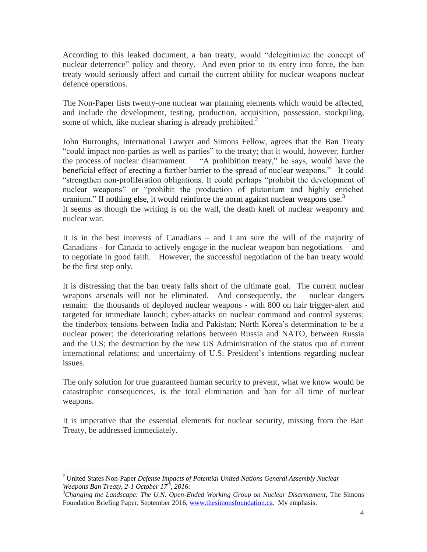According to this leaked document, a ban treaty, would "delegitimize the concept of nuclear deterrence" policy and theory. And even prior to its entry into force, the ban treaty would seriously affect and curtail the current ability for nuclear weapons nuclear defence operations.

The Non-Paper lists twenty-one nuclear war planning elements which would be affected, and include the development, testing, production, acquisition, possession, stockpiling, some of which, like nuclear sharing is already prohibited.<sup>2</sup>

John Burroughs, International Lawyer and Simons Fellow, agrees that the Ban Treaty "could impact non-parties as well as parties" to the treaty; that it would, however, further the process of nuclear disarmament. "A prohibition treaty," he says, would have the beneficial effect of erecting a further barrier to the spread of nuclear weapons." It could "strengthen non-proliferation obligations. It could perhaps "prohibit the development of nuclear weapons" or "prohibit the production of plutonium and highly enriched uranium." If nothing else, it would reinforce the norm against nuclear weapons use. $3$ It seems as though the writing is on the wall, the death knell of nuclear weaponry and nuclear war.

It is in the best interests of Canadians – and I am sure the will of the majority of Canadians - for Canada to actively engage in the nuclear weapon ban negotiations – and to negotiate in good faith. However, the successful negotiation of the ban treaty would be the first step only.

It is distressing that the ban treaty falls short of the ultimate goal. The current nuclear weapons arsenals will not be eliminated. And consequently, the nuclear dangers remain: the thousands of deployed nuclear weapons - with 800 on hair trigger-alert and targeted for immediate launch; cyber-attacks on nuclear command and control systems; the tinderbox tensions between India and Pakistan; North Korea's determination to be a nuclear power; the deteriorating relations between Russia and NATO, between Russia and the U.S; the destruction by the new US Administration of the status quo of current international relations; and uncertainty of U.S. President's intentions regarding nuclear issues.

The only solution for true guaranteed human security to prevent, what we know would be catastrophic consequences, is the total elimination and ban for all time of nuclear weapons.

It is imperative that the essential elements for nuclear security, missing from the Ban Treaty, be addressed immediately.

 $\overline{\phantom{a}}$ <sup>2</sup> United States Non-Paper *Defense Impacts of Potential United Nations General Assembly Nuclear Weapons Ban Treaty, 2-1 October 17th, 2016*:

<sup>3</sup>*Changing the Landscape: The U.N. Open-Ended Working Group on Nuclear Disarmament,* The Simons Foundation Briefing Paper, September 2016, [www.thesimonsfoundation.ca.](http://www.thesimonsfoundation.ca/) My emphasis.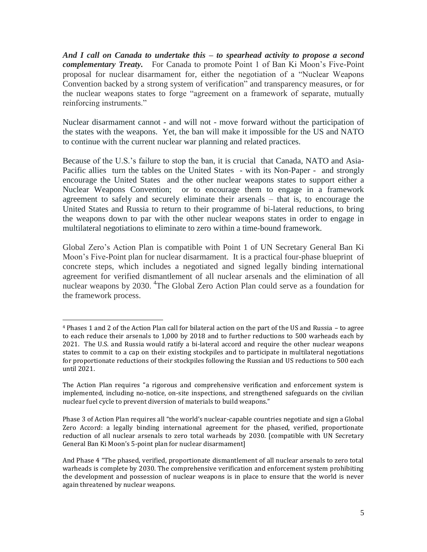*And I call on Canada to undertake this – to spearhead activity to propose a second complementary Treaty.* For Canada to promote Point 1 of Ban Ki Moon's Five-Point proposal for nuclear disarmament for, either the negotiation of a "Nuclear Weapons Convention backed by a strong system of verification" and transparency measures, or for the nuclear weapons states to forge "agreement on a framework of separate, mutually reinforcing instruments."

Nuclear disarmament cannot - and will not - move forward without the participation of the states with the weapons. Yet, the ban will make it impossible for the US and NATO to continue with the current nuclear war planning and related practices.

Because of the U.S.'s failure to stop the ban, it is crucial that Canada, NATO and Asia-Pacific allies turn the tables on the United States - with its Non-Paper - and strongly encourage the United States and the other nuclear weapons states to support either a Nuclear Weapons Convention; or to encourage them to engage in a framework agreement to safely and securely eliminate their arsenals – that is, to encourage the United States and Russia to return to their programme of bi-lateral reductions, to bring the weapons down to par with the other nuclear weapons states in order to engage in multilateral negotiations to eliminate to zero within a time-bound framework.

Global Zero's Action Plan is compatible with Point 1 of UN Secretary General Ban Ki Moon's Five-Point plan for nuclear disarmament. It is a practical four-phase blueprint of concrete steps, which includes a negotiated and signed legally binding international agreement for verified dismantlement of all nuclear arsenals and the elimination of all nuclear weapons by 2030. <sup>4</sup>The Global Zero Action Plan could serve as a foundation for the framework process.

l

<sup>4</sup> Phases 1 and 2 of the Action Plan call for bilateral action on the part of the US and Russia – to agree to each reduce their arsenals to 1,000 by 2018 and to further reductions to 500 warheads each by 2021. The U.S. and Russia would ratify a bi-lateral accord and require the other nuclear weapons states to commit to a cap on their existing stockpiles and to participate in multilateral negotiations for proportionate reductions of their stockpiles following the Russian and US reductions to 500 each until 2021.

The Action Plan requires "a rigorous and comprehensive verification and enforcement system is implemented, including no-notice, on-site inspections, and strengthened safeguards on the civilian nuclear fuel cycle to prevent diversion of materials to build weapons."

Phase 3 of Action Plan requires all "the world's nuclear-capable countries negotiate and sign a Global Zero Accord: a legally binding international agreement for the phased, verified, proportionate reduction of all nuclear arsenals to zero total warheads by 2030. [compatible with UN Secretary General Ban Ki Moon's 5-point plan for nuclear disarmament]

And Phase 4 "The phased, verified, proportionate dismantlement of all nuclear arsenals to zero total warheads is complete by 2030. The comprehensive verification and enforcement system prohibiting the development and possession of nuclear weapons is in place to ensure that the world is never again threatened by nuclear weapons.